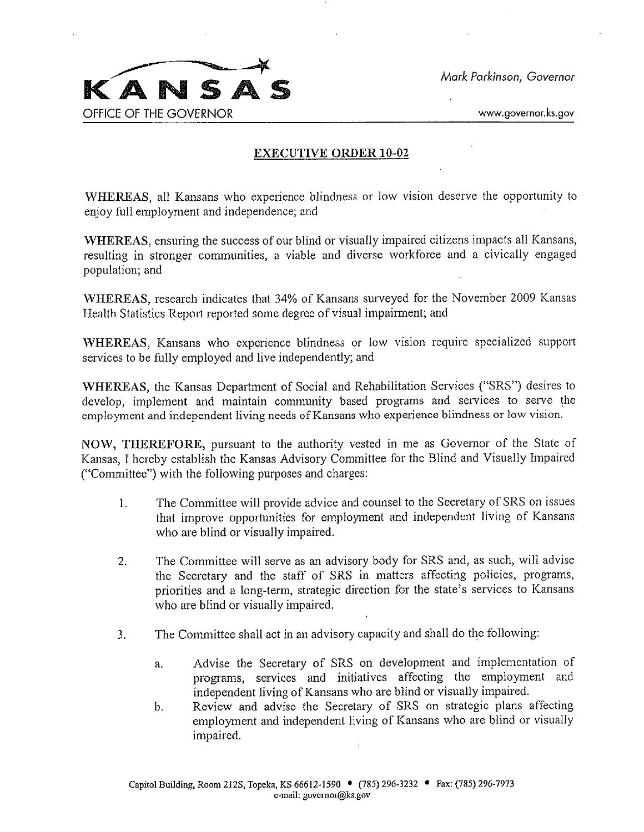

## EXECUTIVE ORDER 10-02

WHEREAS, all Kansans who experience blindness or low vision deserve the opportunity to enjoy full employment and independence; and

WHEREAS, ensuring the success of our blind or visually impaired citizens impacts all Kansans, resulting in stronger communities, a viable and diverse workforce and a civically engaged population; and

WHEREAS, research indicates that 34% of Kansans surveyed for the November 2009 Kansas Health Statistics Repori reporied some degree of visual impairment; and

WHEREAS, Kansans who experience blindness or low vision require specialized support services to be fully employed and live independently; and

WHEREAS, the Kansas Department of Social and Rehabilitation Services ("SRS") desires to develop, implement and maintain community based programs and services to serve the employment and independent living needs of Kansans who experience blindness or low vision.

NOW, THEREFORE, pursuant to the authority vested in me as Governor of the State of Kansas, I hereby establish the Kansas Advisory Committee for the Blind and Visually Impaired ("Committee") with the following purposes and charges:

- I. The Committee will provide advice and counsel to the Secretary of SRS on issues that improve opportunities for employment and independent living of Kansans who are blind or visually impaired.
- 2. The Committee will serve as an advisory body for SRS and, as such, will advise the Secretary and the staff of SRS in matters affecting policies, programs, priorities and a long-term, strategic direction for the state's services to Kansans who are blind or visually impaired.
- 3. The Committee shall act in an advisory capacity and shall do the following:
	- a. Advise the Secretary of SRS on development and implementation of programs, services and initiatives affecting the employment and independent living of Kansans who are blind or visually impaired.
	- b. Review and advise the Secretary of SRS on strategic plans affecting employment and independent living of Kansans who are blind or visually impaired.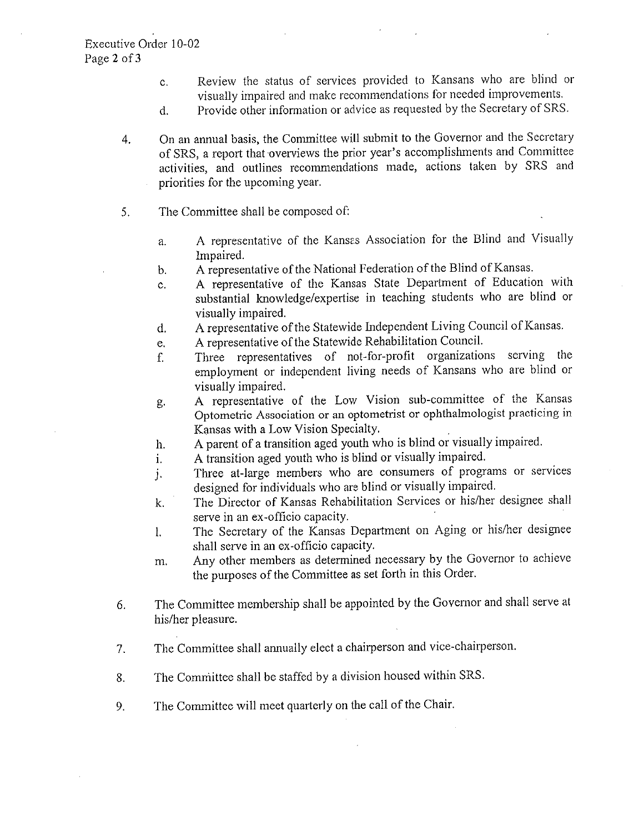- c. Review the status of services provided to Kansans who are blind or visually impaired and make recommendations for needed improvements.
- d. Provide other information or advice as requested by the Secretary of SRS.
- 4. On an annual basis, the Committee will submit to the Governor and the Secretary of SRS, a report that overviews the prior year's accomplishments and Committee activities, and outlines recommendations made, actions taken by SRS and priorities for the upcoming year.
- 5. The Committee shall be composed of:
	- a. A representative of the Kansas Association for the Blind and Visually Impaired.
	- b. A representative of the National Federation of the Blind of Kansas.
	- c. A representative of the Kansas State Department of Education with substantial knowledge/expertise in teaching students who are blind or visually impaired.
	- d. A representative of the Statewide Independent Living Council of Kansas.
	- e. A representative of the Statewide Rehabilitation Council.
	- f. Three representatives of not-for-profit organizations serving the employment or independent living needs of Kansans who are blind or visually impaired.
	- g. A representative of the Low Vision sub-committee of the Kansas Optometric Association or an optometrist or ophthalmologist practicing in Kansas with a Low Vision Specialty.
	- h. A parent of a transition aged youth who is blind or visually impaired.
	- i. A transition aged youth who is blind or visually impaired.
	- j. Three at-large members who are consumers of programs or services designed for individuals who are blind or visually impaired.
	- k. The Director of Kansas Rehabilitation Services or his/her designee shall serve in an ex-officio capacity.
	- 1. The Secretary of the Kansas Department on Aging or his/her designee shall serve in an ex-officio capacity.
	- m. Any other members as determined necessary by the Governor to achieve the purposes of the Committee as set forth in this Order.
- 6. The Committee membership shall be appointed by the Governor and shall serve at his/her pleasure.
- 7. The Committee shall annually elect a chairperson and vice-chairperson.
- 8. The Committee shall be staffed by a division housed within SRS.
- 9. The Committee will meet quarterly on the call of the Chair.